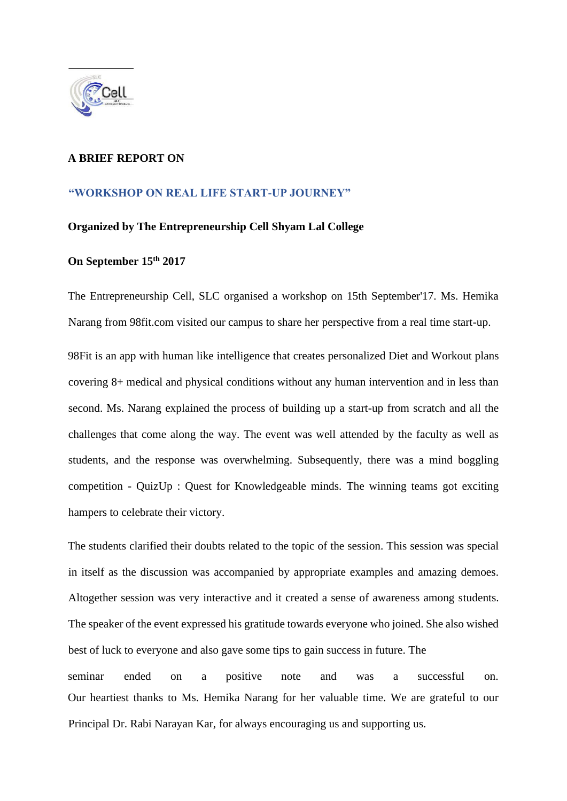

## **A BRIEF REPORT ON**

## **"WORKSHOP ON REAL LIFE START-UP JOURNEY"**

## **Organized by The Entrepreneurship Cell Shyam Lal College**

## **On September 15th 2017**

The Entrepreneurship Cell, SLC organised a workshop on 15th September'17. Ms. Hemika Narang from 98fit.com visited our campus to share her perspective from a real time start-up. 98Fit is an app with human like intelligence that creates personalized Diet and Workout plans covering 8+ medical and physical conditions without any human intervention and in less than second. Ms. Narang explained the process of building up a start-up from scratch and all the challenges that come along the way. The event was well attended by the faculty as well as students, and the response was overwhelming. Subsequently, there was a mind boggling competition - QuizUp : Quest for Knowledgeable minds. The winning teams got exciting hampers to celebrate their victory.

The students clarified their doubts related to the topic of the session. This session was special in itself as the discussion was accompanied by appropriate examples and amazing demoes. Altogether session was very interactive and it created a sense of awareness among students. The speaker of the event expressed his gratitude towards everyone who joined. She also wished best of luck to everyone and also gave some tips to gain success in future. The seminar ended on a positive note and was a successful on. Our heartiest thanks to Ms. Hemika Narang for her valuable time. We are grateful to our

Principal Dr. Rabi Narayan Kar, for always encouraging us and supporting us.